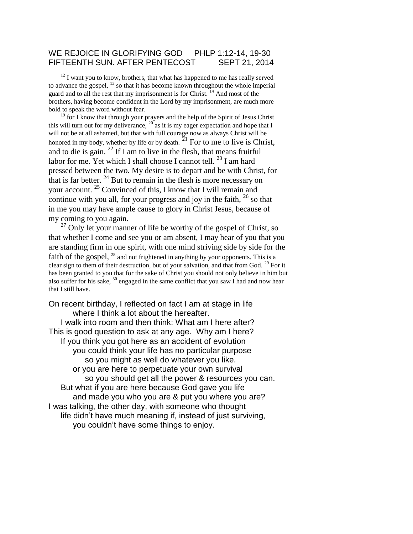#### WE REJOICE IN GLORIFYING GOD PHLP 1:12-14, 19-30 FIFTEENTH SUN. AFTER PENTECOST SEPT 21, 2014

 $12$  I want you to know, brothers, that what has happened to me has really served to advance the gospel, <sup>13</sup> so that it has become known throughout the whole imperial guard and to all the rest that my imprisonment is for Christ.<sup>14</sup> And most of the brothers, having become confident in the Lord by my imprisonment, are much more bold to speak the word without fear.

<sup>19</sup> for I know that through your prayers and the help of the Spirit of Jesus Christ this will turn out for my deliverance,  $20$  as it is my eager expectation and hope that I will not be at all ashamed, but that with full courage now as always Christ will be honored in my body, whether by life or by death.  $^{21}$  For to me to live is Christ, and to die is gain.  $^{22}$  If I am to live in the flesh, that means fruitful labor for me. Yet which I shall choose I cannot tell.  $^{23}$  I am hard pressed between the two. My desire is to depart and be with Christ, for that is far better.  $24$  But to remain in the flesh is more necessary on your account. <sup>25</sup> Convinced of this, I know that I will remain and continue with you all, for your progress and joy in the faith,  $^{26}$  so that in me you may have ample cause to glory in Christ Jesus, because of my coming to you again.

 $^{27}$  Only let your manner of life be worthy of the gospel of Christ, so that whether I come and see you or am absent, I may hear of you that you are standing firm in one spirit, with one mind striving side by side for the faith of the gospel, <sup>28</sup> and not frightened in anything by your opponents. This is a clear sign to them of their destruction, but of your salvation, and that from God. <sup>29</sup> For it has been granted to you that for the sake of Christ you should not only believe in him but also suffer for his sake,  $30$  engaged in the same conflict that you saw I had and now hear that I still have.

On recent birthday, I reflected on fact I am at stage in life where I think a lot about the hereafter. I walk into room and then think: What am I here after? This is good question to ask at any age. Why am I here? If you think you got here as an accident of evolution you could think your life has no particular purpose so you might as well do whatever you like. or you are here to perpetuate your own survival so you should get all the power & resources you can. But what if you are here because God gave you life and made you who you are & put you where you are? I was talking, the other day, with someone who thought life didn't have much meaning if, instead of just surviving, you couldn't have some things to enjoy.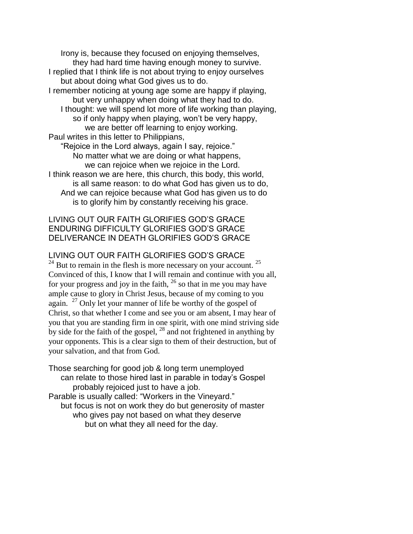Irony is, because they focused on enjoying themselves, they had hard time having enough money to survive. I replied that I think life is not about trying to enjoy ourselves but about doing what God gives us to do. I remember noticing at young age some are happy if playing, but very unhappy when doing what they had to do. I thought: we will spend lot more of life working than playing, so if only happy when playing, won't be very happy, we are better off learning to enjoy working. Paul writes in this letter to Philippians, "Rejoice in the Lord always, again I say, rejoice." No matter what we are doing or what happens, we can rejoice when we rejoice in the Lord. I think reason we are here, this church, this body, this world,

is all same reason: to do what God has given us to do, And we can rejoice because what God has given us to do is to glorify him by constantly receiving his grace.

## LIVING OUT OUR FAITH GLORIFIES GOD'S GRACE ENDURING DIFFICULTY GLORIFIES GOD'S GRACE DELIVERANCE IN DEATH GLORIFIES GOD'S GRACE

### LIVING OUT OUR FAITH GLORIFIES GOD'S GRACE

 $24$  But to remain in the flesh is more necessary on your account.  $25$ Convinced of this, I know that I will remain and continue with you all, for your progress and joy in the faith,  $^{26}$  so that in me you may have ample cause to glory in Christ Jesus, because of my coming to you again. <sup>27</sup> Only let your manner of life be worthy of the gospel of Christ, so that whether I come and see you or am absent, I may hear of you that you are standing firm in one spirit, with one mind striving side by side for the faith of the gospel,  $^{28}$  and not frightened in anything by your opponents. This is a clear sign to them of their destruction, but of your salvation, and that from God.

Those searching for good job & long term unemployed can relate to those hired last in parable in today's Gospel probably rejoiced just to have a job. Parable is usually called: "Workers in the Vineyard." but focus is not on work they do but generosity of master who gives pay not based on what they deserve but on what they all need for the day.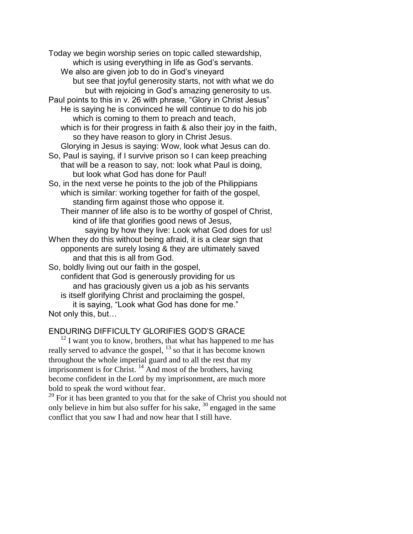Today we begin worship series on topic called stewardship, which is using everything in life as God's servants. We also are given job to do in God's vineyard but see that joyful generosity starts, not with what we do but with rejoicing in God's amazing generosity to us. Paul points to this in v. 26 with phrase, "Glory in Christ Jesus" He is saying he is convinced he will continue to do his job which is coming to them to preach and teach, which is for their progress in faith & also their joy in the faith, so they have reason to glory in Christ Jesus. Glorying in Jesus is saying: Wow, look what Jesus can do. So, Paul is saying, if I survive prison so I can keep preaching that will be a reason to say, not: look what Paul is doing, but look what God has done for Paul! So, in the next verse he points to the job of the Philippians which is similar: working together for faith of the gospel, standing firm against those who oppose it. Their manner of life also is to be worthy of gospel of Christ, kind of life that glorifies good news of Jesus, saying by how they live: Look what God does for us! When they do this without being afraid, it is a clear sign that opponents are surely losing & they are ultimately saved and that this is all from God. So, boldly living out our faith in the gospel, confident that God is generously providing for us and has graciously given us a job as his servants is itself glorifying Christ and proclaiming the gospel,

it is saying, "Look what God has done for me." Not only this, but…

## ENDURING DIFFICULTY GLORIFIES GOD'S GRACE

 $12$  I want you to know, brothers, that what has happened to me has really served to advance the gospel, <sup>13</sup> so that it has become known throughout the whole imperial guard and to all the rest that my imprisonment is for Christ.<sup>14</sup> And most of the brothers, having become confident in the Lord by my imprisonment, are much more bold to speak the word without fear.

 $29$  For it has been granted to you that for the sake of Christ you should not only believe in him but also suffer for his sake,  $30$  engaged in the same conflict that you saw I had and now hear that I still have.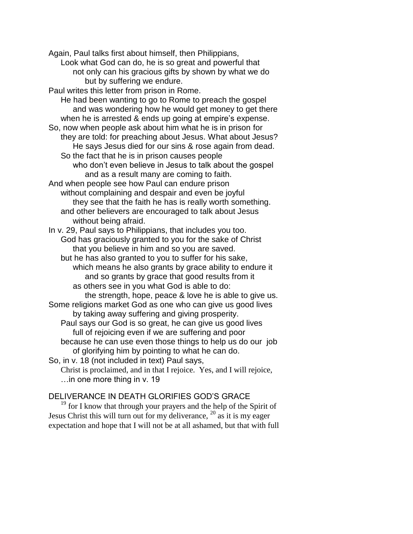Again, Paul talks first about himself, then Philippians,

Look what God can do, he is so great and powerful that not only can his gracious gifts by shown by what we do but by suffering we endure.

Paul writes this letter from prison in Rome.

He had been wanting to go to Rome to preach the gospel and was wondering how he would get money to get there when he is arrested & ends up going at empire's expense.

So, now when people ask about him what he is in prison for they are told: for preaching about Jesus. What about Jesus? He says Jesus died for our sins & rose again from dead.

So the fact that he is in prison causes people who don't even believe in Jesus to talk about the gospel and as a result many are coming to faith.

And when people see how Paul can endure prison without complaining and despair and even be joyful they see that the faith he has is really worth something. and other believers are encouraged to talk about Jesus without being afraid.

In v. 29, Paul says to Philippians, that includes you too. God has graciously granted to you for the sake of Christ that you believe in him and so you are saved.

but he has also granted to you to suffer for his sake, which means he also grants by grace ability to endure it and so grants by grace that good results from it as others see in you what God is able to do:

the strength, hope, peace & love he is able to give us.

Some religions market God as one who can give us good lives by taking away suffering and giving prosperity.

Paul says our God is so great, he can give us good lives full of rejoicing even if we are suffering and poor because he can use even those things to help us do our job of glorifying him by pointing to what he can do.

So, in v. 18 (not included in text) Paul says,

Christ is proclaimed, and in that I rejoice. Yes, and I will rejoice, …in one more thing in v. 19

# DELIVERANCE IN DEATH GLORIFIES GOD'S GRACE

 $19$  for I know that through your prayers and the help of the Spirit of Jesus Christ this will turn out for my deliverance, <sup>20</sup> as it is my eager expectation and hope that I will not be at all ashamed, but that with full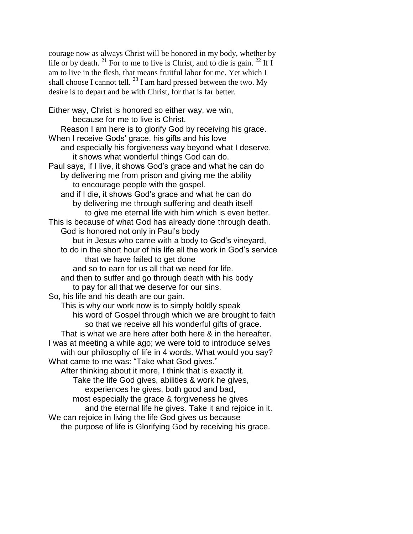courage now as always Christ will be honored in my body, whether by life or by death. <sup>21</sup> For to me to live is Christ, and to die is gain. <sup>22</sup> If I am to live in the flesh, that means fruitful labor for me. Yet which I shall choose I cannot tell.  $^{23}$  I am hard pressed between the two. My desire is to depart and be with Christ, for that is far better.

Either way, Christ is honored so either way, we win, because for me to live is Christ. Reason I am here is to glorify God by receiving his grace. When I receive Gods' grace, his gifts and his love and especially his forgiveness way beyond what I deserve, it shows what wonderful things God can do. Paul says, if I live, it shows God's grace and what he can do by delivering me from prison and giving me the ability to encourage people with the gospel. and if I die, it shows God's grace and what he can do by delivering me through suffering and death itself to give me eternal life with him which is even better. This is because of what God has already done through death. God is honored not only in Paul's body but in Jesus who came with a body to God's vineyard, to do in the short hour of his life all the work in God's service that we have failed to get done and so to earn for us all that we need for life. and then to suffer and go through death with his body to pay for all that we deserve for our sins. So, his life and his death are our gain. This is why our work now is to simply boldly speak his word of Gospel through which we are brought to faith so that we receive all his wonderful gifts of grace. That is what we are here after both here & in the hereafter. I was at meeting a while ago; we were told to introduce selves with our philosophy of life in 4 words. What would you say? What came to me was: "Take what God gives." After thinking about it more, I think that is exactly it. Take the life God gives, abilities & work he gives, experiences he gives, both good and bad, most especially the grace & forgiveness he gives and the eternal life he gives. Take it and rejoice in it. We can rejoice in living the life God gives us because the purpose of life is Glorifying God by receiving his grace.